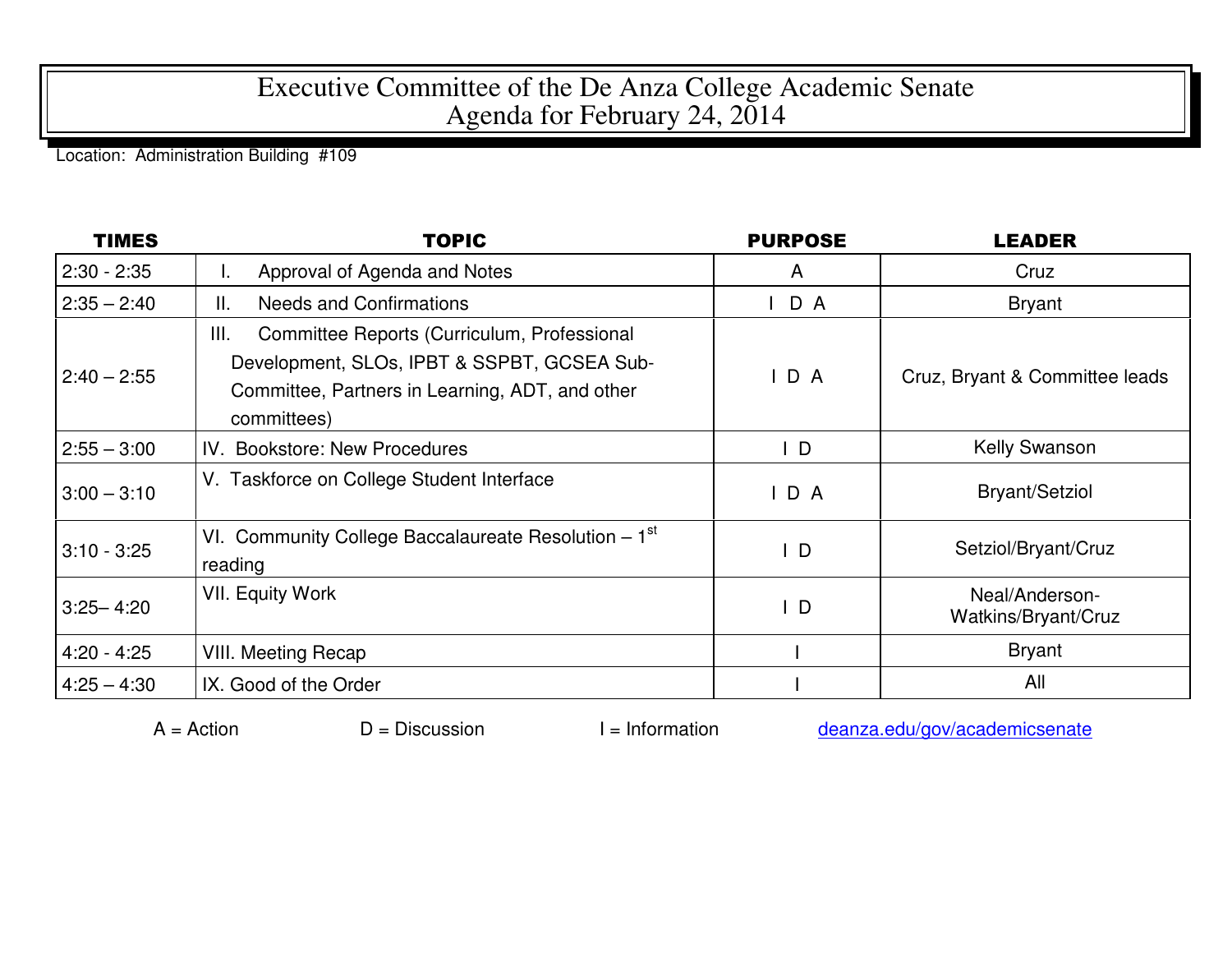## Executive Committee of the De Anza College Academic Senate Agenda for February 24, 2014

Location: Administration Building #109

| <b>TIMES</b>  | <b>TOPIC</b>                                                                                                                                                         | <b>PURPOSE</b> | <b>LEADER</b>                         |
|---------------|----------------------------------------------------------------------------------------------------------------------------------------------------------------------|----------------|---------------------------------------|
| $2:30 - 2:35$ | Approval of Agenda and Notes<br>ı.                                                                                                                                   | A              | Cruz                                  |
| $2:35 - 2:40$ | <b>Needs and Confirmations</b><br>II.                                                                                                                                | D A            | <b>Bryant</b>                         |
| $2:40 - 2:55$ | III.<br>Committee Reports (Curriculum, Professional<br>Development, SLOs, IPBT & SSPBT, GCSEA Sub-<br>Committee, Partners in Learning, ADT, and other<br>committees) | IDA            | Cruz, Bryant & Committee leads        |
| $2:55 - 3:00$ | IV. Bookstore: New Procedures                                                                                                                                        | $\mathsf{I}$   | Kelly Swanson                         |
| $3:00 - 3:10$ | V. Taskforce on College Student Interface                                                                                                                            | $I$ D A        | <b>Bryant/Setziol</b>                 |
| $3:10 - 3:25$ | VI. Community College Baccalaureate Resolution $-1st$<br>reading                                                                                                     | $\mathsf{I}$ D | Setziol/Bryant/Cruz                   |
| $3:25 - 4:20$ | <b>VII. Equity Work</b>                                                                                                                                              | $\mathsf{I}$ D | Neal/Anderson-<br>Watkins/Bryant/Cruz |
| $4:20 - 4:25$ | VIII. Meeting Recap                                                                                                                                                  |                | <b>Bryant</b>                         |
| $4:25 - 4:30$ | IX. Good of the Order                                                                                                                                                |                | All                                   |

 $A =$ Action  $D =$  Discussion I = Information deanza.edu/gov/academicsenate